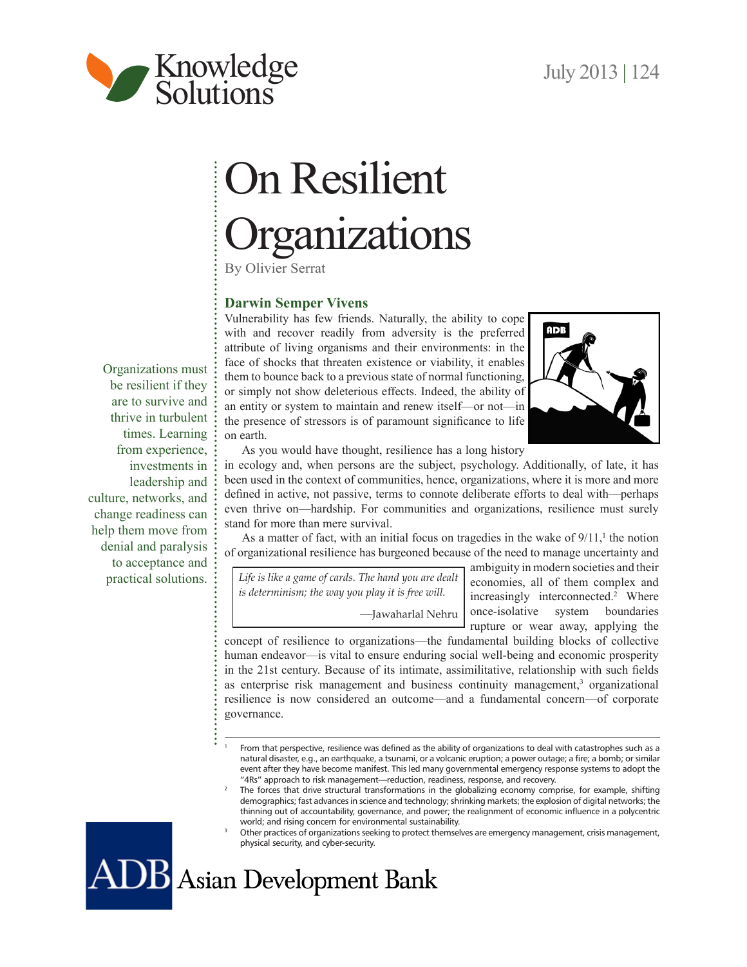

# On Resilient **Organizations**

By Olivier Serrat

# **Darwin Semper Vivens**

Vulnerability has few friends. Naturally, the ability to cope with and recover readily from adversity is the preferred attribute of living organisms and their environments: in the face of shocks that threaten existence or viability, it enables them to bounce back to a previous state of normal functioning, or simply not show deleterious effects. Indeed, the ability of an entity or system to maintain and renew itself—or not—in the presence of stressors is of paramount significance to life on earth.



As you would have thought, resilience has a long history

in ecology and, when persons are the subject, psychology. Additionally, of late, it has been used in the context of communities, hence, organizations, where it is more and more defined in active, not passive, terms to connote deliberate efforts to deal with—perhaps even thrive on—hardship. For communities and organizations, resilience must surely stand for more than mere survival.

As a matter of fact, with an initial focus on tragedies in the wake of  $9/11$ ,<sup>1</sup> the notion of organizational resilience has burgeoned because of the need to manage uncertainty and

*Life is like a game of cards. The hand you are dealt is determinism; the way you play it is free will.* —Jawaharlal Nehru

ambiguity in modern societies and their economies, all of them complex and increasingly interconnected.<sup>2</sup> Where once-isolative system boundaries rupture or wear away, applying the

concept of resilience to organizations—the fundamental building blocks of collective human endeavor—is vital to ensure enduring social well-being and economic prosperity in the 21st century. Because of its intimate, assimilitative, relationship with such fields as enterprise risk management and business continuity management,<sup>3</sup> organizational resilience is now considered an outcome—and a fundamental concern—of corporate governance.

ADB Asian Development Bank

Organizations must be resilient if they are to survive and thrive in turbulent times. Learning from experience, investments in leadership and culture, networks, and change readiness can help them move from denial and paralysis to acceptance and practical solutions.

<sup>1</sup> From that perspective, resilience was defined as the ability of organizations to deal with catastrophes such as a natural disaster, e.g., an earthquake, a tsunami, or a volcanic eruption; a power outage; a fire; a bomb; or similar event after they have become manifest. This led many governmental emergency response systems to adopt the "4Rs" approach to risk management—reduction, readiness, response, and recovery.

<sup>2</sup> The forces that drive structural transformations in the globalizing economy comprise, for example, shifting demographics; fast advances in science and technology; shrinking markets; the explosion of digital networks; the thinning out of accountability, governance, and power; the realignment of economic influence in a polycentric world; and rising concern for environmental sustainability.

<sup>3</sup> Other practices of organizations seeking to protect themselves are emergency management, crisis management, physical security, and cyber-security.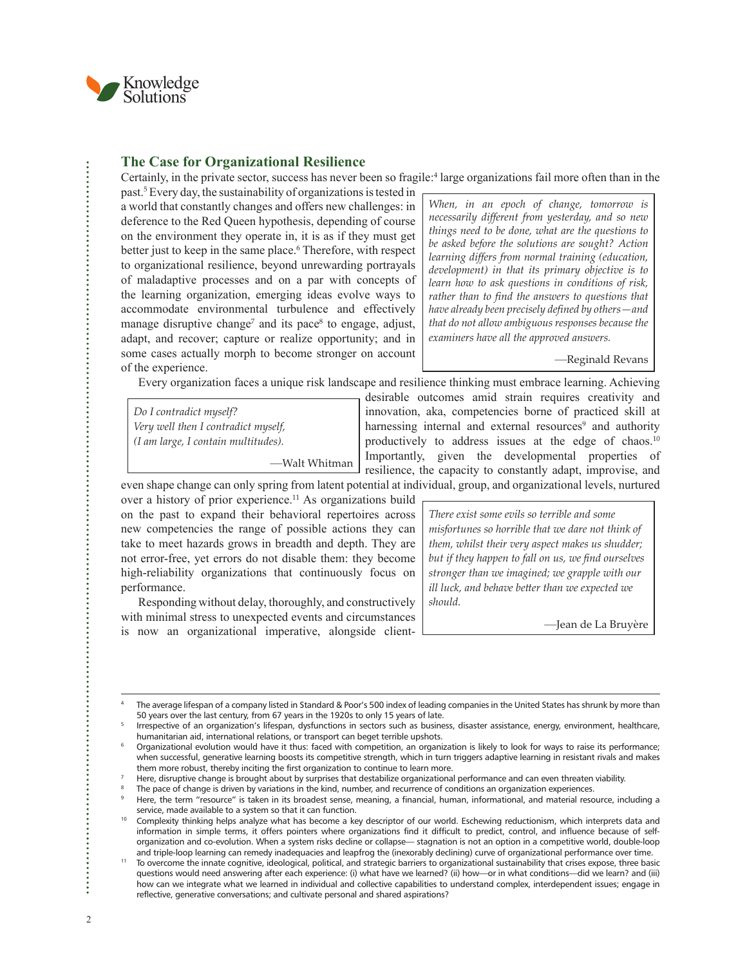

#### **The Case for Organizational Resilience**

Certainly, in the private sector, success has never been so fragile:<sup>4</sup> large organizations fail more often than in the

past.<sup>5</sup> Every day, the sustainability of organizations is tested in a world that constantly changes and offers new challenges: in deference to the Red Queen hypothesis, depending of course on the environment they operate in, it is as if they must get better just to keep in the same place.<sup>6</sup> Therefore, with respect to organizational resilience, beyond unrewarding portrayals of maladaptive processes and on a par with concepts of the learning organization, emerging ideas evolve ways to accommodate environmental turbulence and effectively manage disruptive change<sup>7</sup> and its pace<sup>8</sup> to engage, adjust, adapt, and recover; capture or realize opportunity; and in some cases actually morph to become stronger on account of the experience.

*When, in an epoch of change, tomorrow is necessarily different from yesterday, and so new things need to be done, what are the questions to be asked before the solutions are sought? Action learning differs from normal training (education, development) in that its primary objective is to learn how to ask questions in conditions of risk, rather than to find the answers to questions that have already been precisely defined by others—and that do not allow ambiguous responses because the examiners have all the approved answers.*

—Reginald Revans

Every organization faces a unique risk landscape and resilience thinking must embrace learning. Achieving

*Do I contradict myself? Very well then I contradict myself, (I am large, I contain multitudes).*

—Walt Whitman

desirable outcomes amid strain requires creativity and innovation, aka, competencies borne of practiced skill at harnessing internal and external resources<sup>9</sup> and authority productively to address issues at the edge of chaos.<sup>10</sup> Importantly, given the developmental properties of resilience, the capacity to constantly adapt, improvise, and

even shape change can only spring from latent potential at individual, group, and organizational levels, nurtured over a history of prior experience.<sup>11</sup> As organizations build on the past to expand their behavioral repertoires across new competencies the range of possible actions they can take to meet hazards grows in breadth and depth. They are not error-free, yet errors do not disable them: they become high-reliability organizations that continuously focus on performance.

Responding without delay, thoroughly, and constructively with minimal stress to unexpected events and circumstances is now an organizational imperative, alongside client*There exist some evils so terrible and some misfortunes so horrible that we dare not think of them, whilst their very aspect makes us shudder; but if they happen to fall on us, we find ourselves stronger than we imagined; we grapple with our ill luck, and behave better than we expected we should.*

—Jean de La Bruyère

÷

<sup>4</sup> The average lifespan of a company listed in Standard & Poor's 500 index of leading companies in the United States has shrunk by more than 50 years over the last century, from 67 years in the 1920s to only 15 years of late.

<sup>5</sup> Irrespective of an organization's lifespan, dysfunctions in sectors such as business, disaster assistance, energy, environment, healthcare, humanitarian aid, international relations, or transport can beget terrible upshots.

<sup>6</sup> Organizational evolution would have it thus: faced with competition, an organization is likely to look for ways to raise its performance; when successful, generative learning boosts its competitive strength, which in turn triggers adaptive learning in resistant rivals and makes them more robust, thereby inciting the first organization to continue to learn more.

<sup>7</sup> Here, disruptive change is brought about by surprises that destabilize organizational performance and can even threaten viability.

<sup>8</sup> The pace of change is driven by variations in the kind, number, and recurrence of conditions an organization experiences.

<sup>9</sup> Here, the term "resource" is taken in its broadest sense, meaning, a financial, human, informational, and material resource, including a service, made available to a system so that it can function.

<sup>10</sup> Complexity thinking helps analyze what has become a key descriptor of our world. Eschewing reductionism, which interprets data and information in simple terms, it offers pointers where organizations find it difficult to predict, control, and influence because of selforganization and co-evolution. When a system risks decline or collapse— stagnation is not an option in a competitive world, double-loop and triple-loop learning can remedy inadequacies and leapfrog the (inexorably declining) curve of organizational performance over time.

<sup>11</sup> To overcome the innate cognitive, ideological, political, and strategic barriers to organizational sustainability that crises expose, three basic questions would need answering after each experience: (i) what have we learned? (ii) how—or in what conditions—did we learn? and (iii) how can we integrate what we learned in individual and collective capabilities to understand complex, interdependent issues; engage in reflective, generative conversations; and cultivate personal and shared aspirations?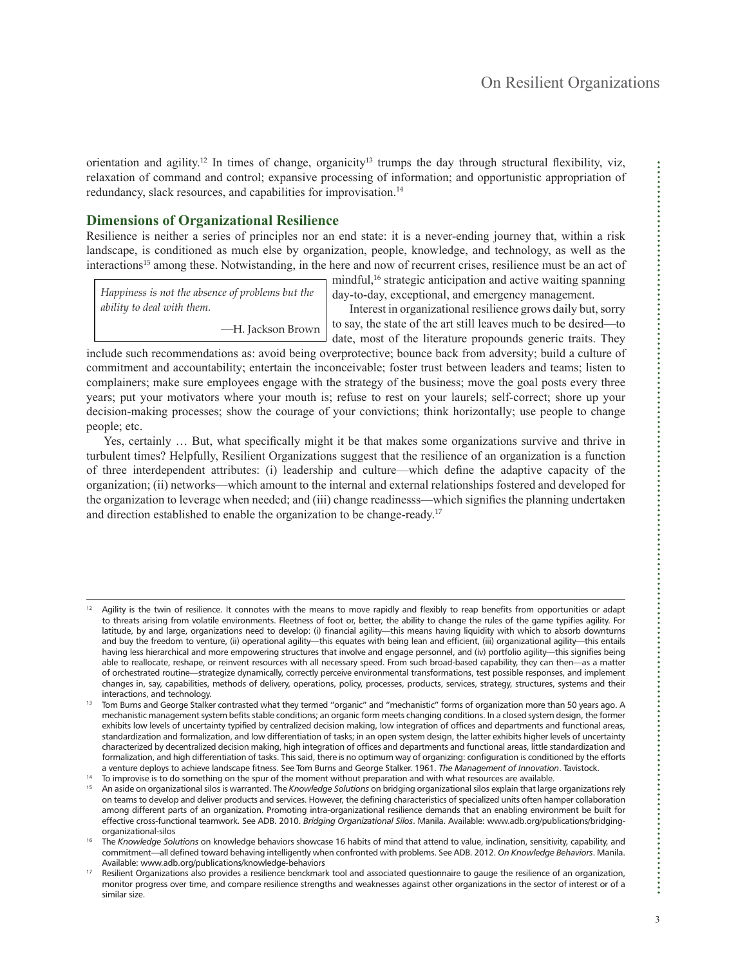orientation and agility.<sup>12</sup> In times of change, organicity<sup>13</sup> trumps the day through structural flexibility, viz, relaxation of command and control; expansive processing of information; and opportunistic appropriation of redundancy, slack resources, and capabilities for improvisation.<sup>14</sup>

## **Dimensions of Organizational Resilience**

Resilience is neither a series of principles nor an end state: it is a never-ending journey that, within a risk landscape, is conditioned as much else by organization, people, knowledge, and technology, as well as the interactions<sup>15</sup> among these. Notwistanding, in the here and now of recurrent crises, resilience must be an act of

*Happiness is not the absence of problems but the ability to deal with them.*

—H. Jackson Brown

mindful,<sup>16</sup> strategic anticipation and active waiting spanning day-to-day, exceptional, and emergency management.

Interest in organizational resilience grows daily but, sorry to say, the state of the art still leaves much to be desired—to date, most of the literature propounds generic traits. They

include such recommendations as: avoid being overprotective; bounce back from adversity; build a culture of commitment and accountability; entertain the inconceivable; foster trust between leaders and teams; listen to complainers; make sure employees engage with the strategy of the business; move the goal posts every three years; put your motivators where your mouth is; refuse to rest on your laurels; self-correct; shore up your decision-making processes; show the courage of your convictions; think horizontally; use people to change people; etc.

Yes, certainly … But, what specifically might it be that makes some organizations survive and thrive in turbulent times? Helpfully, Resilient Organizations suggest that the resilience of an organization is a function of three interdependent attributes: (i) leadership and culture—which define the adaptive capacity of the organization; (ii) networks—which amount to the internal and external relationships fostered and developed for the organization to leverage when needed; and (iii) change readinesss—which signifies the planning undertaken and direction established to enable the organization to be change-ready.<sup>17</sup>

 $12$  Agility is the twin of resilience. It connotes with the means to move rapidly and flexibly to reap benefits from opportunities or adapt to threats arising from volatile environments. Fleetness of foot or, better, the ability to change the rules of the game typifies agility. For latitude, by and large, organizations need to develop: (i) financial agility—this means having liquidity with which to absorb downturns and buy the freedom to venture, (ii) operational agility—this equates with being lean and efficient, (iii) organizational agility—this entails having less hierarchical and more empowering structures that involve and engage personnel, and (iv) portfolio agility—this signifies being able to reallocate, reshape, or reinvent resources with all necessary speed. From such broad-based capability, they can then—as a matter of orchestrated routine—strategize dynamically, correctly perceive environmental transformations, test possible responses, and implement changes in, say, capabilities, methods of delivery, operations, policy, processes, products, services, strategy, structures, systems and their interactions, and technology.

<sup>&</sup>lt;sup>13</sup> Tom Burns and George Stalker contrasted what they termed "organic" and "mechanistic" forms of organization more than 50 years ago. A mechanistic management system befits stable conditions; an organic form meets changing conditions. In a closed system design, the former exhibits low levels of uncertainty typified by centralized decision making, low integration of offices and departments and functional areas, standardization and formalization, and low differentiation of tasks; in an open system design, the latter exhibits higher levels of uncertainty characterized by decentralized decision making, high integration of offices and departments and functional areas, little standardization and formalization, and high differentiation of tasks. This said, there is no optimum way of organizing: configuration is conditioned by the efforts a venture deploys to achieve landscape fitness. See Tom Burns and George Stalker. 1961. *The Management of Innovation*. Tavistock.

<sup>14</sup> To improvise is to do something on the spur of the moment without preparation and with what resources are available.

<sup>15</sup> An aside on organizational silos is warranted. The *Knowledge Solutions* on bridging organizational silos explain that large organizations rely on teams to develop and deliver products and services. However, the defining characteristics of specialized units often hamper collaboration among different parts of an organization. Promoting intra-organizational resilience demands that an enabling environment be built for effective cross-functional teamwork. See ADB. 2010. *Bridging Organizational Silos*. Manila. Available: [www.adb.org/publications/bridging](http://www.adb.org/publications/bridging-organizational-silos)[organizational-silos](http://www.adb.org/publications/bridging-organizational-silos)

<sup>&</sup>lt;sup>16</sup> The *Knowledge Solutions* on knowledge behaviors showcase 16 habits of mind that attend to value, inclination, sensitivity, capability, and commitment—all defined toward behaving intelligently when confronted with problems. See ADB. 2012. *On Knowledge Behaviors*. Manila. Available: [www.adb.org/publications/knowledge-behaviors](http://www.adb.org/publications/knowledge-behaviors)

<sup>&</sup>lt;sup>17</sup> Resilient Organizations also provides a resilience benckmark tool and associated questionnaire to gauge the resilience of an organization, monitor progress over time, and compare resilience strengths and weaknesses against other organizations in the sector of interest or of a similar size.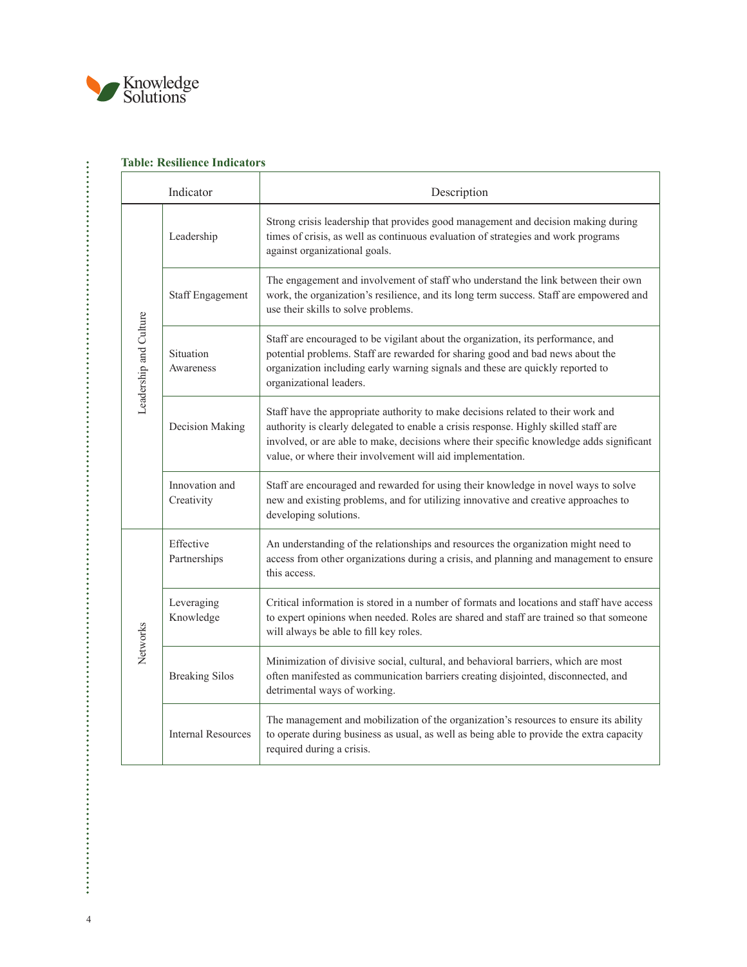

| Indicator              |                              | Description                                                                                                                                                                                                                                                                                                                        |
|------------------------|------------------------------|------------------------------------------------------------------------------------------------------------------------------------------------------------------------------------------------------------------------------------------------------------------------------------------------------------------------------------|
| Leadership and Culture | Leadership                   | Strong crisis leadership that provides good management and decision making during<br>times of crisis, as well as continuous evaluation of strategies and work programs<br>against organizational goals.                                                                                                                            |
|                        | <b>Staff Engagement</b>      | The engagement and involvement of staff who understand the link between their own<br>work, the organization's resilience, and its long term success. Staff are empowered and<br>use their skills to solve problems.                                                                                                                |
|                        | Situation<br>Awareness       | Staff are encouraged to be vigilant about the organization, its performance, and<br>potential problems. Staff are rewarded for sharing good and bad news about the<br>organization including early warning signals and these are quickly reported to<br>organizational leaders.                                                    |
|                        | Decision Making              | Staff have the appropriate authority to make decisions related to their work and<br>authority is clearly delegated to enable a crisis response. Highly skilled staff are<br>involved, or are able to make, decisions where their specific knowledge adds significant<br>value, or where their involvement will aid implementation. |
|                        | Innovation and<br>Creativity | Staff are encouraged and rewarded for using their knowledge in novel ways to solve<br>new and existing problems, and for utilizing innovative and creative approaches to<br>developing solutions.                                                                                                                                  |
| Networks               | Effective<br>Partnerships    | An understanding of the relationships and resources the organization might need to<br>access from other organizations during a crisis, and planning and management to ensure<br>this access.                                                                                                                                       |
|                        | Leveraging<br>Knowledge      | Critical information is stored in a number of formats and locations and staff have access<br>to expert opinions when needed. Roles are shared and staff are trained so that someone<br>will always be able to fill key roles.                                                                                                      |
|                        | <b>Breaking Silos</b>        | Minimization of divisive social, cultural, and behavioral barriers, which are most<br>often manifested as communication barriers creating disjointed, disconnected, and<br>detrimental ways of working.                                                                                                                            |
|                        | <b>Internal Resources</b>    | The management and mobilization of the organization's resources to ensure its ability<br>to operate during business as usual, as well as being able to provide the extra capacity<br>required during a crisis.                                                                                                                     |

# **Table: Resilience Indicators**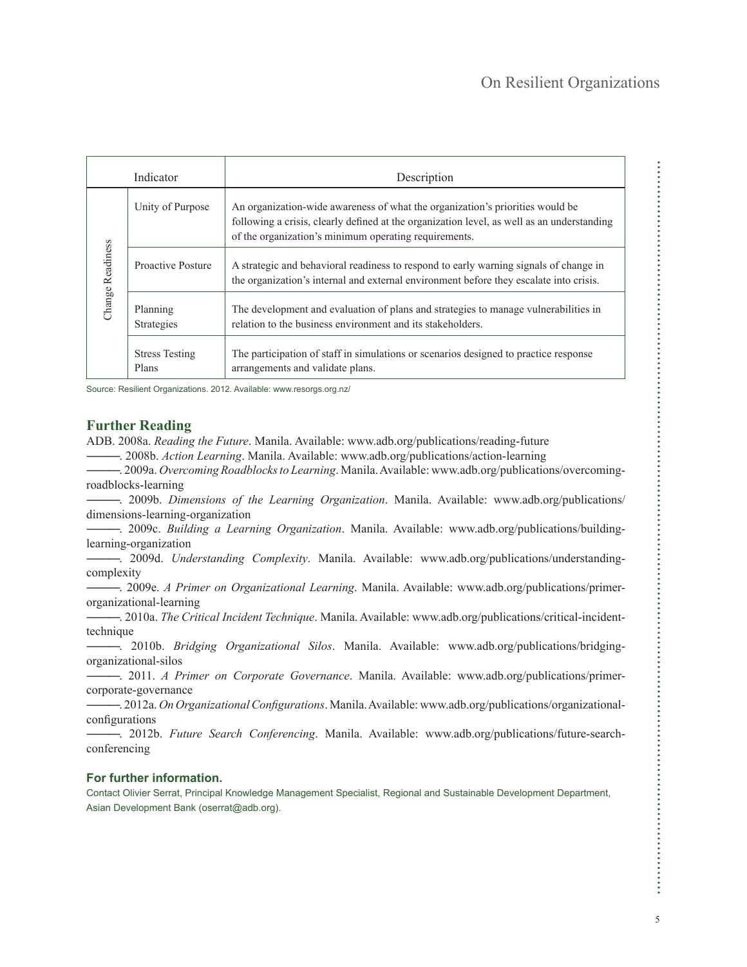......

| Indicator        |                                | Description                                                                                                                                                                                                                          |
|------------------|--------------------------------|--------------------------------------------------------------------------------------------------------------------------------------------------------------------------------------------------------------------------------------|
| Change Readiness | Unity of Purpose               | An organization-wide awareness of what the organization's priorities would be<br>following a crisis, clearly defined at the organization level, as well as an understanding<br>of the organization's minimum operating requirements. |
|                  | Proactive Posture              | A strategic and behavioral readiness to respond to early warning signals of change in<br>the organization's internal and external environment before they escalate into crisis.                                                      |
|                  | Planning<br>Strategies         | The development and evaluation of plans and strategies to manage vulnerabilities in<br>relation to the business environment and its stakeholders.                                                                                    |
|                  | <b>Stress Testing</b><br>Plans | The participation of staff in simulations or scenarios designed to practice response<br>arrangements and validate plans.                                                                                                             |

Source: Resilient Organizations. 2012. Available: [www.resorgs.org.nz/](http://www.resorgs.org.nz/)

### **Further Reading**

ADB. 2008a. *Reading the Future*. Manila. Available: [www.adb.org/publications/reading-future](http://www.adb.org/publications/reading-future)

―――. 2008b. *Action Learning*. Manila. Available: [www.adb.org/publications/action-learning](http://www.adb.org/publications/action-learning)

―――. 2009a. *Overcoming Roadblocks to Learning*. Manila. Available: [www.adb.org/publications/overcoming](http://www.adb.org/publications/overcoming-roadblocks-learning)[roadblocks-learning](http://www.adb.org/publications/overcoming-roadblocks-learning)

―――. 2009b. *Dimensions of the Learning Organization*. Manila. Available: [www.adb.org/publications/](http://www.adb.org/publications/dimensions-learning-organization) [dimensions-learning-organization](http://www.adb.org/publications/dimensions-learning-organization)

―――. 2009c. *Building a Learning Organization*. Manila. Available: [www.adb.org/publications/building](http://www.adb.org/publications/building-learning-organization)[learning-organization](http://www.adb.org/publications/building-learning-organization)

―――. 2009d. *Understanding Complexity*. Manila. Available: [www.adb.org/publications/understanding](http://www.adb.org/publications/understanding-complexity)[complexity](http://www.adb.org/publications/understanding-complexity)

―――. 2009e. *A Primer on Organizational Learning*. Manila. Available: [www.adb.org/publications/primer](http://www.adb.org/publications/primer-organizational-learning)[organizational-learning](http://www.adb.org/publications/primer-organizational-learning)

―――. 2010a. *The Critical Incident Technique*. Manila. Available: [www.adb.org/publications/critical-incident](http://www.adb.org/publications/critical-incident-technique)[technique](http://www.adb.org/publications/critical-incident-technique)

―――. 2010b. *Bridging Organizational Silos*. Manila. Available: [www.adb.org/publications/bridging](http://www.adb.org/publications/bridging-organizational-silos)[organizational-silos](http://www.adb.org/publications/bridging-organizational-silos)

―――. 2011. *A Primer on Corporate Governance*. Manila. Available: [www.adb.org/publications/primer](http://www.adb.org/publications/primer-corporate-governance)[corporate-governance](http://www.adb.org/publications/primer-corporate-governance)

―――. 2012a. *On Organizational Configurations*. Manila. Available: [www.adb.org/publications/organizational](http://www.adb.org/publications/organizational-configurations)[configurations](http://www.adb.org/publications/organizational-configurations)

―――. 2012b. *Future Search Conferencing*. Manila. Available: [www.adb.org/publications/future-search](http://www.adb.org/publications/future-search-conferencing)[conferencing](http://www.adb.org/publications/future-search-conferencing)

#### **For further information.**

Contact Olivier Serrat, Principal Knowledge Management Specialist, Regional and Sustainable Development Department, Asian Development Bank (oserrat@adb.org).